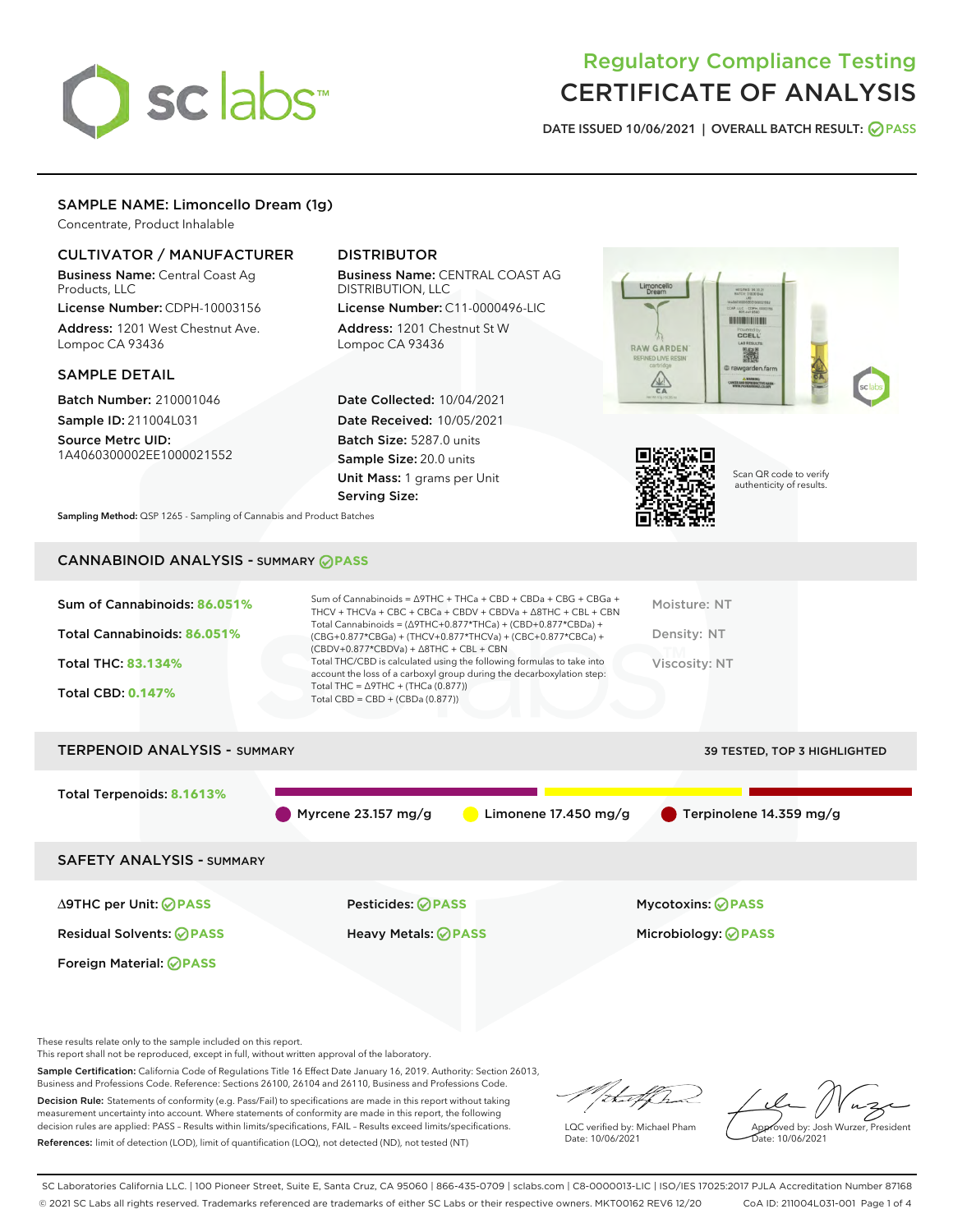# sclabs<sup>\*</sup>

## Regulatory Compliance Testing CERTIFICATE OF ANALYSIS

DATE ISSUED 10/06/2021 | OVERALL BATCH RESULT: @ PASS

#### SAMPLE NAME: Limoncello Dream (1g)

Concentrate, Product Inhalable

#### CULTIVATOR / MANUFACTURER

Business Name: Central Coast Ag Products, LLC

License Number: CDPH-10003156 Address: 1201 West Chestnut Ave. Lompoc CA 93436

#### SAMPLE DETAIL

Batch Number: 210001046 Sample ID: 211004L031

Source Metrc UID: 1A4060300002EE1000021552

#### DISTRIBUTOR

Business Name: CENTRAL COAST AG DISTRIBUTION, LLC

License Number: C11-0000496-LIC Address: 1201 Chestnut St W Lompoc CA 93436

Date Collected: 10/04/2021 Date Received: 10/05/2021 Batch Size: 5287.0 units Sample Size: 20.0 units Unit Mass: 1 grams per Unit Serving Size:





Scan QR code to verify authenticity of results.

Sampling Method: QSP 1265 - Sampling of Cannabis and Product Batches

### CANNABINOID ANALYSIS - SUMMARY **PASS**

| Sum of Cannabinoids: 86.051%<br>Total Cannabinoids: 86.051%<br>Total THC: 83.134%<br><b>Total CBD: 0.147%</b> | Sum of Cannabinoids = $\triangle$ 9THC + THCa + CBD + CBDa + CBG + CBGa +<br>THCV + THCVa + CBC + CBCa + CBDV + CBDVa + $\land$ 8THC + CBL + CBN<br>Total Cannabinoids = $(\Delta$ 9THC+0.877*THCa) + (CBD+0.877*CBDa) +<br>(CBG+0.877*CBGa) + (THCV+0.877*THCVa) + (CBC+0.877*CBCa) +<br>$(CBDV+0.877*CBDVa) + \Delta 8THC + CBL + CBN$<br>Total THC/CBD is calculated using the following formulas to take into<br>account the loss of a carboxyl group during the decarboxylation step:<br>Total THC = $\triangle$ 9THC + (THCa (0.877))<br>Total CBD = $CBD + (CBDa (0.877))$ |                        | Moisture: NT<br>Density: NT<br>Viscosity: NT |
|---------------------------------------------------------------------------------------------------------------|-----------------------------------------------------------------------------------------------------------------------------------------------------------------------------------------------------------------------------------------------------------------------------------------------------------------------------------------------------------------------------------------------------------------------------------------------------------------------------------------------------------------------------------------------------------------------------------|------------------------|----------------------------------------------|
| <b>TERPENOID ANALYSIS - SUMMARY</b>                                                                           |                                                                                                                                                                                                                                                                                                                                                                                                                                                                                                                                                                                   |                        | 39 TESTED, TOP 3 HIGHLIGHTED                 |
| Total Terpenoids: 8.1613%                                                                                     | Myrcene $23.157$ mg/g                                                                                                                                                                                                                                                                                                                                                                                                                                                                                                                                                             | Limonene $17.450$ mg/g | $\blacksquare$ Terpinolene 14.359 mg/g       |
| <b>SAFETY ANALYSIS - SUMMARY</b>                                                                              |                                                                                                                                                                                                                                                                                                                                                                                                                                                                                                                                                                                   |                        |                                              |

Foreign Material: **PASS**

Residual Solvents: **PASS** Heavy Metals: **PASS** Microbiology: **PASS**

∆9THC per Unit: **PASS** Pesticides: **PASS** Mycotoxins: **PASS**

These results relate only to the sample included on this report.

This report shall not be reproduced, except in full, without written approval of the laboratory.

Sample Certification: California Code of Regulations Title 16 Effect Date January 16, 2019. Authority: Section 26013, Business and Professions Code. Reference: Sections 26100, 26104 and 26110, Business and Professions Code.

Decision Rule: Statements of conformity (e.g. Pass/Fail) to specifications are made in this report without taking measurement uncertainty into account. Where statements of conformity are made in this report, the following decision rules are applied: PASS – Results within limits/specifications, FAIL – Results exceed limits/specifications. References: limit of detection (LOD), limit of quantification (LOQ), not detected (ND), not tested (NT)

/ihat f ha

LQC verified by: Michael Pham Date: 10/06/2021

Approved by: Josh Wurzer, President ate: 10/06/2021

SC Laboratories California LLC. | 100 Pioneer Street, Suite E, Santa Cruz, CA 95060 | 866-435-0709 | sclabs.com | C8-0000013-LIC | ISO/IES 17025:2017 PJLA Accreditation Number 87168 © 2021 SC Labs all rights reserved. Trademarks referenced are trademarks of either SC Labs or their respective owners. MKT00162 REV6 12/20 CoA ID: 211004L031-001 Page 1 of 4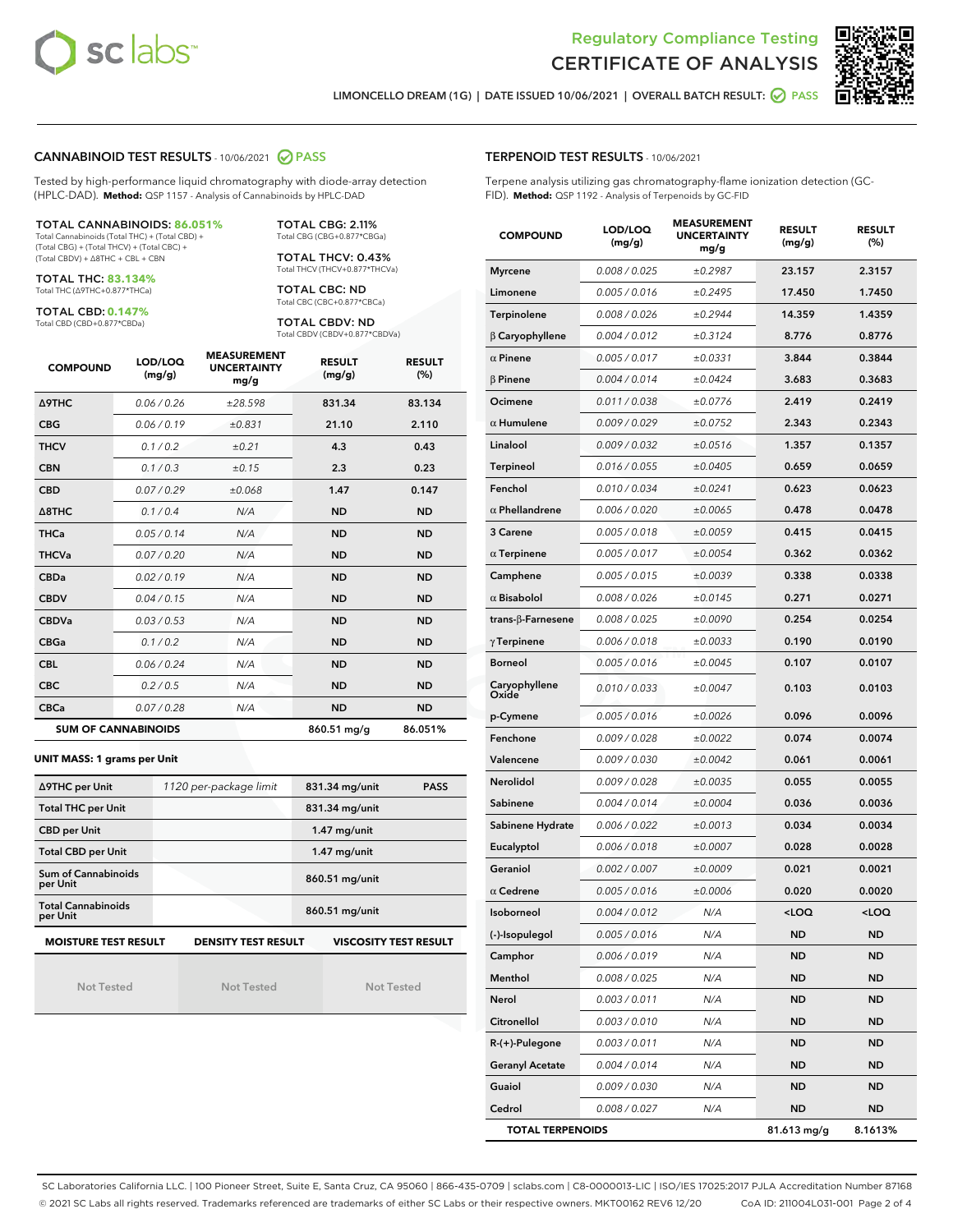



LIMONCELLO DREAM (1G) | DATE ISSUED 10/06/2021 | OVERALL BATCH RESULT: **⊘** PASS

#### CANNABINOID TEST RESULTS - 10/06/2021 2 PASS

Tested by high-performance liquid chromatography with diode-array detection (HPLC-DAD). **Method:** QSP 1157 - Analysis of Cannabinoids by HPLC-DAD

#### TOTAL CANNABINOIDS: **86.051%**

Total Cannabinoids (Total THC) + (Total CBD) + (Total CBG) + (Total THCV) + (Total CBC) + (Total CBDV) + ∆8THC + CBL + CBN

TOTAL THC: **83.134%** Total THC (∆9THC+0.877\*THCa)

TOTAL CBD: **0.147%**

Total CBD (CBD+0.877\*CBDa)

TOTAL CBG: 2.11% Total CBG (CBG+0.877\*CBGa)

TOTAL THCV: 0.43% Total THCV (THCV+0.877\*THCVa)

TOTAL CBC: ND Total CBC (CBC+0.877\*CBCa)

TOTAL CBDV: ND Total CBDV (CBDV+0.877\*CBDVa)

| <b>COMPOUND</b>            | LOD/LOQ<br>(mg/g) | <b>MEASUREMENT</b><br><b>UNCERTAINTY</b><br>mg/g | <b>RESULT</b><br>(mg/g) | <b>RESULT</b><br>(%) |
|----------------------------|-------------------|--------------------------------------------------|-------------------------|----------------------|
| <b>A9THC</b>               | 0.06 / 0.26       | ±28.598                                          | 831.34                  | 83.134               |
| <b>CBG</b>                 | 0.06/0.19         | ±0.831                                           | 21.10                   | 2.110                |
| <b>THCV</b>                | 0.1 / 0.2         | ±0.21                                            | 4.3                     | 0.43                 |
| <b>CBN</b>                 | 0.1/0.3           | ±0.15                                            | 2.3                     | 0.23                 |
| <b>CBD</b>                 | 0.07/0.29         | ±0.068                                           | 1.47                    | 0.147                |
| $\triangle$ 8THC           | 0.1 / 0.4         | N/A                                              | <b>ND</b>               | <b>ND</b>            |
| <b>THCa</b>                | 0.05/0.14         | N/A                                              | <b>ND</b>               | <b>ND</b>            |
| <b>THCVa</b>               | 0.07/0.20         | N/A                                              | <b>ND</b>               | <b>ND</b>            |
| <b>CBDa</b>                | 0.02/0.19         | N/A                                              | <b>ND</b>               | <b>ND</b>            |
| <b>CBDV</b>                | 0.04/0.15         | N/A                                              | <b>ND</b>               | <b>ND</b>            |
| <b>CBDVa</b>               | 0.03/0.53         | N/A                                              | <b>ND</b>               | <b>ND</b>            |
| <b>CBGa</b>                | 0.1/0.2           | N/A                                              | <b>ND</b>               | <b>ND</b>            |
| <b>CBL</b>                 | 0.06 / 0.24       | N/A                                              | <b>ND</b>               | <b>ND</b>            |
| <b>CBC</b>                 | 0.2 / 0.5         | N/A                                              | <b>ND</b>               | <b>ND</b>            |
| <b>CBCa</b>                | 0.07 / 0.28       | N/A                                              | <b>ND</b>               | <b>ND</b>            |
| <b>SUM OF CANNABINOIDS</b> |                   |                                                  | 860.51 mg/g             | 86.051%              |

#### **UNIT MASS: 1 grams per Unit**

| ∆9THC per Unit                                                                            | 1120 per-package limit | 831.34 mg/unit<br><b>PASS</b> |  |  |  |
|-------------------------------------------------------------------------------------------|------------------------|-------------------------------|--|--|--|
| <b>Total THC per Unit</b>                                                                 |                        | 831.34 mg/unit                |  |  |  |
| <b>CBD per Unit</b>                                                                       |                        | $1.47$ mg/unit                |  |  |  |
| <b>Total CBD per Unit</b>                                                                 |                        | $1.47$ mg/unit                |  |  |  |
| Sum of Cannabinoids<br>per Unit                                                           |                        | 860.51 mg/unit                |  |  |  |
| <b>Total Cannabinoids</b><br>per Unit                                                     |                        | 860.51 mg/unit                |  |  |  |
| <b>MOISTURE TEST RESULT</b><br><b>DENSITY TEST RESULT</b><br><b>VISCOSITY TEST RESULT</b> |                        |                               |  |  |  |

Not Tested

Not Tested

Not Tested

#### TERPENOID TEST RESULTS - 10/06/2021

Terpene analysis utilizing gas chromatography-flame ionization detection (GC-FID). **Method:** QSP 1192 - Analysis of Terpenoids by GC-FID

| <b>COMPOUND</b>           | LOD/LOQ<br>(mg/g) | <b>MEASUREMENT</b><br><b>UNCERTAINTY</b><br>mg/g | <b>RESULT</b><br>(mg/g)                         | <b>RESULT</b><br>(%) |
|---------------------------|-------------------|--------------------------------------------------|-------------------------------------------------|----------------------|
| <b>Myrcene</b>            | 0.008 / 0.025     | ±0.2987                                          | 23.157                                          | 2.3157               |
| Limonene                  | 0.005 / 0.016     | ±0.2495                                          | 17.450                                          | 1.7450               |
| Terpinolene               | 0.008 / 0.026     | ±0.2944                                          | 14.359                                          | 1.4359               |
| $\beta$ Caryophyllene     | 0.004 / 0.012     | ±0.3124                                          | 8.776                                           | 0.8776               |
| $\alpha$ Pinene           | 0.005 / 0.017     | ±0.0331                                          | 3.844                                           | 0.3844               |
| $\beta$ Pinene            | 0.004 / 0.014     | ±0.0424                                          | 3.683                                           | 0.3683               |
| Ocimene                   | 0.011 / 0.038     | ±0.0776                                          | 2.419                                           | 0.2419               |
| $\alpha$ Humulene         | 0.009/0.029       | ±0.0752                                          | 2.343                                           | 0.2343               |
| Linalool                  | 0.009 / 0.032     | ±0.0516                                          | 1.357                                           | 0.1357               |
| Terpineol                 | 0.016 / 0.055     | ±0.0405                                          | 0.659                                           | 0.0659               |
| Fenchol                   | 0.010 / 0.034     | ±0.0241                                          | 0.623                                           | 0.0623               |
| $\alpha$ Phellandrene     | 0.006 / 0.020     | ±0.0065                                          | 0.478                                           | 0.0478               |
| 3 Carene                  | 0.005 / 0.018     | ±0.0059                                          | 0.415                                           | 0.0415               |
| $\alpha$ Terpinene        | 0.005 / 0.017     | ±0.0054                                          | 0.362                                           | 0.0362               |
| Camphene                  | 0.005 / 0.015     | ±0.0039                                          | 0.338                                           | 0.0338               |
| $\alpha$ Bisabolol        | 0.008 / 0.026     | ±0.0145                                          | 0.271                                           | 0.0271               |
| trans- $\beta$ -Farnesene | 0.008 / 0.025     | ±0.0090                                          | 0.254                                           | 0.0254               |
| $\gamma$ Terpinene        | 0.006 / 0.018     | ±0.0033                                          | 0.190                                           | 0.0190               |
| <b>Borneol</b>            | 0.005 / 0.016     | ±0.0045                                          | 0.107                                           | 0.0107               |
| Caryophyllene<br>Oxide    | 0.010 / 0.033     | ±0.0047                                          | 0.103                                           | 0.0103               |
| p-Cymene                  | 0.005 / 0.016     | ±0.0026                                          | 0.096                                           | 0.0096               |
| Fenchone                  | 0.009 / 0.028     | ±0.0022                                          | 0.074                                           | 0.0074               |
| Valencene                 | 0.009 / 0.030     | ±0.0042                                          | 0.061                                           | 0.0061               |
| Nerolidol                 | 0.009 / 0.028     | ±0.0035                                          | 0.055                                           | 0.0055               |
| Sabinene                  | 0.004 / 0.014     | ±0.0004                                          | 0.036                                           | 0.0036               |
| Sabinene Hydrate          | 0.006 / 0.022     | ±0.0013                                          | 0.034                                           | 0.0034               |
| Eucalyptol                | 0.006 / 0.018     | ±0.0007                                          | 0.028                                           | 0.0028               |
| Geraniol                  | 0.002 / 0.007     | ±0.0009                                          | 0.021                                           | 0.0021               |
| $\alpha$ Cedrene          | 0.005 / 0.016     | ±0.0006                                          | 0.020                                           | 0.0020               |
| Isoborneol                | 0.004 / 0.012     | N/A                                              | <loq< th=""><th><loq< th=""></loq<></th></loq<> | <loq< th=""></loq<>  |
| (-)-Isopulegol            | 0.005 / 0.016     | N/A                                              | ND                                              | ND                   |
| Camphor                   | 0.006 / 0.019     | N/A                                              | <b>ND</b>                                       | <b>ND</b>            |
| Menthol                   | 0.008 / 0.025     | N/A                                              | <b>ND</b>                                       | <b>ND</b>            |
| Nerol                     | 0.003 / 0.011     | N/A                                              | ND                                              | ND                   |
| Citronellol               | 0.003 / 0.010     | N/A                                              | ND                                              | ND                   |
| R-(+)-Pulegone            | 0.003 / 0.011     | N/A                                              | <b>ND</b>                                       | <b>ND</b>            |
| <b>Geranyl Acetate</b>    | 0.004 / 0.014     | N/A                                              | ND                                              | ND                   |
| Guaiol                    | 0.009 / 0.030     | N/A                                              | <b>ND</b>                                       | <b>ND</b>            |
| Cedrol                    | 0.008 / 0.027     | N/A                                              | <b>ND</b>                                       | <b>ND</b>            |
| <b>TOTAL TERPENOIDS</b>   |                   |                                                  | 81.613 mg/g                                     | 8.1613%              |

SC Laboratories California LLC. | 100 Pioneer Street, Suite E, Santa Cruz, CA 95060 | 866-435-0709 | sclabs.com | C8-0000013-LIC | ISO/IES 17025:2017 PJLA Accreditation Number 87168 © 2021 SC Labs all rights reserved. Trademarks referenced are trademarks of either SC Labs or their respective owners. MKT00162 REV6 12/20 CoA ID: 211004L031-001 Page 2 of 4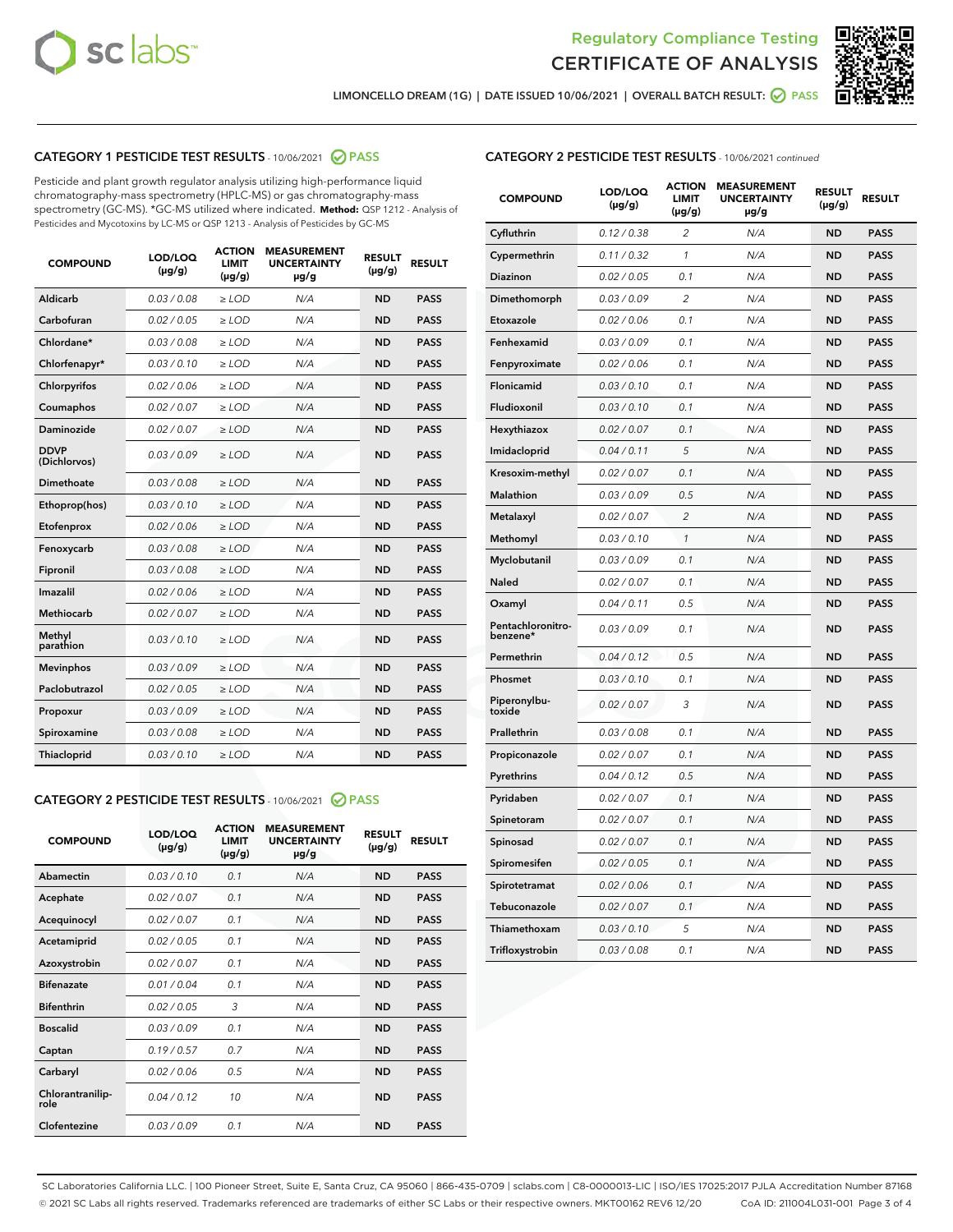



LIMONCELLO DREAM (1G) | DATE ISSUED 10/06/2021 | OVERALL BATCH RESULT:  $\bigcirc$  PASS

#### CATEGORY 1 PESTICIDE TEST RESULTS - 10/06/2021 2 PASS

Pesticide and plant growth regulator analysis utilizing high-performance liquid chromatography-mass spectrometry (HPLC-MS) or gas chromatography-mass spectrometry (GC-MS). \*GC-MS utilized where indicated. **Method:** QSP 1212 - Analysis of Pesticides and Mycotoxins by LC-MS or QSP 1213 - Analysis of Pesticides by GC-MS

| <b>COMPOUND</b>             | LOD/LOQ<br>$(\mu g/g)$ | <b>ACTION</b><br><b>LIMIT</b><br>$(\mu q/q)$ | <b>MEASUREMENT</b><br><b>UNCERTAINTY</b><br>$\mu$ g/g | <b>RESULT</b><br>$(\mu g/g)$ | <b>RESULT</b> |
|-----------------------------|------------------------|----------------------------------------------|-------------------------------------------------------|------------------------------|---------------|
| Aldicarb                    | 0.03 / 0.08            | $\ge$ LOD                                    | N/A                                                   | <b>ND</b>                    | <b>PASS</b>   |
| Carbofuran                  | 0.02 / 0.05            | $\ge$ LOD                                    | N/A                                                   | <b>ND</b>                    | <b>PASS</b>   |
| Chlordane*                  | 0.03 / 0.08            | $\ge$ LOD                                    | N/A                                                   | <b>ND</b>                    | <b>PASS</b>   |
| Chlorfenapyr*               | 0.03/0.10              | $\ge$ LOD                                    | N/A                                                   | <b>ND</b>                    | <b>PASS</b>   |
| Chlorpyrifos                | 0.02 / 0.06            | $\ge$ LOD                                    | N/A                                                   | <b>ND</b>                    | <b>PASS</b>   |
| Coumaphos                   | 0.02 / 0.07            | $\ge$ LOD                                    | N/A                                                   | <b>ND</b>                    | <b>PASS</b>   |
| Daminozide                  | 0.02 / 0.07            | $\ge$ LOD                                    | N/A                                                   | <b>ND</b>                    | <b>PASS</b>   |
| <b>DDVP</b><br>(Dichlorvos) | 0.03/0.09              | $>$ LOD                                      | N/A                                                   | <b>ND</b>                    | <b>PASS</b>   |
| Dimethoate                  | 0.03 / 0.08            | $\ge$ LOD                                    | N/A                                                   | <b>ND</b>                    | <b>PASS</b>   |
| Ethoprop(hos)               | 0.03/0.10              | $\ge$ LOD                                    | N/A                                                   | <b>ND</b>                    | <b>PASS</b>   |
| Etofenprox                  | 0.02/0.06              | $>$ LOD                                      | N/A                                                   | <b>ND</b>                    | <b>PASS</b>   |
| Fenoxycarb                  | 0.03 / 0.08            | $\ge$ LOD                                    | N/A                                                   | <b>ND</b>                    | <b>PASS</b>   |
| Fipronil                    | 0.03/0.08              | $>$ LOD                                      | N/A                                                   | <b>ND</b>                    | <b>PASS</b>   |
| Imazalil                    | 0.02 / 0.06            | $\ge$ LOD                                    | N/A                                                   | <b>ND</b>                    | <b>PASS</b>   |
| Methiocarb                  | 0.02 / 0.07            | $\ge$ LOD                                    | N/A                                                   | <b>ND</b>                    | <b>PASS</b>   |
| Methyl<br>parathion         | 0.03/0.10              | $>$ LOD                                      | N/A                                                   | <b>ND</b>                    | <b>PASS</b>   |
| <b>Mevinphos</b>            | 0.03/0.09              | $>$ LOD                                      | N/A                                                   | <b>ND</b>                    | <b>PASS</b>   |
| Paclobutrazol               | 0.02 / 0.05            | $\ge$ LOD                                    | N/A                                                   | <b>ND</b>                    | <b>PASS</b>   |
| Propoxur                    | 0.03 / 0.09            | $\ge$ LOD                                    | N/A                                                   | <b>ND</b>                    | <b>PASS</b>   |
| Spiroxamine                 | 0.03 / 0.08            | $\ge$ LOD                                    | N/A                                                   | <b>ND</b>                    | <b>PASS</b>   |
| Thiacloprid                 | 0.03/0.10              | $\ge$ LOD                                    | N/A                                                   | <b>ND</b>                    | <b>PASS</b>   |

#### CATEGORY 2 PESTICIDE TEST RESULTS - 10/06/2021 @ PASS

| <b>COMPOUND</b>          | LOD/LOO<br>$(\mu g/g)$ | <b>ACTION</b><br>LIMIT<br>$(\mu g/g)$ | <b>MEASUREMENT</b><br><b>UNCERTAINTY</b><br>µg/g | <b>RESULT</b><br>$(\mu g/g)$ | <b>RESULT</b> |  |
|--------------------------|------------------------|---------------------------------------|--------------------------------------------------|------------------------------|---------------|--|
| Abamectin                | 0.03/0.10              | 0.1                                   | N/A                                              | <b>ND</b>                    | <b>PASS</b>   |  |
| Acephate                 | 0.02/0.07              | 0.1                                   | N/A                                              | <b>ND</b>                    | <b>PASS</b>   |  |
| Acequinocyl              | 0.02/0.07              | 0.1                                   | N/A                                              | <b>ND</b>                    | <b>PASS</b>   |  |
| Acetamiprid              | 0.02 / 0.05            | 0.1                                   | N/A                                              | <b>ND</b>                    | <b>PASS</b>   |  |
| Azoxystrobin             | 0.02/0.07              | 0.1                                   | N/A                                              | <b>ND</b>                    | <b>PASS</b>   |  |
| <b>Bifenazate</b>        | 0.01 / 0.04            | 0.1                                   | N/A                                              | <b>ND</b>                    | <b>PASS</b>   |  |
| <b>Bifenthrin</b>        | 0.02 / 0.05            | 3                                     | N/A                                              | <b>ND</b>                    | <b>PASS</b>   |  |
| <b>Boscalid</b>          | 0.03/0.09              | 0.1                                   | N/A                                              | <b>ND</b>                    | <b>PASS</b>   |  |
| Captan                   | 0.19/0.57              | 0.7                                   | N/A                                              | <b>ND</b>                    | <b>PASS</b>   |  |
| Carbaryl                 | 0.02/0.06              | 0.5                                   | N/A                                              | <b>ND</b>                    | <b>PASS</b>   |  |
| Chlorantranilip-<br>role | 0.04/0.12              | 10                                    | N/A                                              | <b>ND</b>                    | <b>PASS</b>   |  |
| Clofentezine             | 0.03/0.09              | 0.1                                   | N/A                                              | <b>ND</b>                    | <b>PASS</b>   |  |

| CATEGORY 2 PESTICIDE TEST RESULTS - 10/06/2021 continued |  |
|----------------------------------------------------------|--|
|                                                          |  |

| <b>COMPOUND</b>               | LOD/LOQ<br>(µg/g) | <b>ACTION</b><br><b>LIMIT</b><br>$(\mu g/g)$ | <b>MEASUREMENT</b><br><b>UNCERTAINTY</b><br>µg/g | <b>RESULT</b><br>(µg/g) | <b>RESULT</b> |
|-------------------------------|-------------------|----------------------------------------------|--------------------------------------------------|-------------------------|---------------|
| Cyfluthrin                    | 0.12 / 0.38       | $\overline{\mathcal{L}}$                     | N/A                                              | ND                      | <b>PASS</b>   |
| Cypermethrin                  | 0.11 / 0.32       | 1                                            | N/A                                              | <b>ND</b>               | <b>PASS</b>   |
| Diazinon                      | 0.02 / 0.05       | 0.1                                          | N/A                                              | <b>ND</b>               | <b>PASS</b>   |
| Dimethomorph                  | 0.03 / 0.09       | 2                                            | N/A                                              | ND                      | <b>PASS</b>   |
| Etoxazole                     | 0.02 / 0.06       | 0.1                                          | N/A                                              | <b>ND</b>               | <b>PASS</b>   |
| Fenhexamid                    | 0.03 / 0.09       | 0.1                                          | N/A                                              | <b>ND</b>               | <b>PASS</b>   |
| Fenpyroximate                 | 0.02 / 0.06       | 0.1                                          | N/A                                              | ND                      | <b>PASS</b>   |
| Flonicamid                    | 0.03 / 0.10       | 0.1                                          | N/A                                              | ND                      | <b>PASS</b>   |
| Fludioxonil                   | 0.03 / 0.10       | 0.1                                          | N/A                                              | <b>ND</b>               | <b>PASS</b>   |
| Hexythiazox                   | 0.02 / 0.07       | 0.1                                          | N/A                                              | <b>ND</b>               | <b>PASS</b>   |
| Imidacloprid                  | 0.04 / 0.11       | 5                                            | N/A                                              | ND                      | <b>PASS</b>   |
| Kresoxim-methyl               | 0.02 / 0.07       | 0.1                                          | N/A                                              | <b>ND</b>               | <b>PASS</b>   |
| Malathion                     | 0.03 / 0.09       | 0.5                                          | N/A                                              | ND                      | <b>PASS</b>   |
| Metalaxyl                     | 0.02 / 0.07       | $\overline{2}$                               | N/A                                              | ND                      | <b>PASS</b>   |
| Methomyl                      | 0.03 / 0.10       | 1                                            | N/A                                              | <b>ND</b>               | <b>PASS</b>   |
| Myclobutanil                  | 0.03 / 0.09       | 0.1                                          | N/A                                              | <b>ND</b>               | <b>PASS</b>   |
| Naled                         | 0.02 / 0.07       | 0.1                                          | N/A                                              | ND                      | <b>PASS</b>   |
| Oxamyl                        | 0.04 / 0.11       | 0.5                                          | N/A                                              | ND                      | <b>PASS</b>   |
| Pentachloronitro-<br>benzene* | 0.03 / 0.09       | 0.1                                          | N/A                                              | <b>ND</b>               | <b>PASS</b>   |
| Permethrin                    | 0.04 / 0.12       | 0.5                                          | N/A                                              | ND                      | <b>PASS</b>   |
| Phosmet                       | 0.03/0.10         | 0.1                                          | N/A                                              | ND                      | <b>PASS</b>   |
| Piperonylbu-<br>toxide        | 0.02 / 0.07       | 3                                            | N/A                                              | ND                      | <b>PASS</b>   |
| Prallethrin                   | 0.03 / 0.08       | 0.1                                          | N/A                                              | ND                      | <b>PASS</b>   |
| Propiconazole                 | 0.02 / 0.07       | 0.1                                          | N/A                                              | ND                      | <b>PASS</b>   |
| Pyrethrins                    | 0.04 / 0.12       | 0.5                                          | N/A                                              | ND                      | <b>PASS</b>   |
| Pyridaben                     | 0.02 / 0.07       | 0.1                                          | N/A                                              | <b>ND</b>               | <b>PASS</b>   |
| Spinetoram                    | 0.02 / 0.07       | 0.1                                          | N/A                                              | ND                      | <b>PASS</b>   |
| Spinosad                      | 0.02 / 0.07       | 0.1                                          | N/A                                              | ND                      | <b>PASS</b>   |
| Spiromesifen                  | 0.02 / 0.05       | 0.1                                          | N/A                                              | ND                      | <b>PASS</b>   |
| Spirotetramat                 | 0.02 / 0.06       | 0.1                                          | N/A                                              | ND                      | <b>PASS</b>   |
| Tebuconazole                  | 0.02 / 0.07       | 0.1                                          | N/A                                              | ND                      | <b>PASS</b>   |
| Thiamethoxam                  | 0.03 / 0.10       | 5                                            | N/A                                              | ND                      | <b>PASS</b>   |
| Trifloxystrobin               | 0.03 / 0.08       | 0.1                                          | N/A                                              | ND                      | <b>PASS</b>   |

SC Laboratories California LLC. | 100 Pioneer Street, Suite E, Santa Cruz, CA 95060 | 866-435-0709 | sclabs.com | C8-0000013-LIC | ISO/IES 17025:2017 PJLA Accreditation Number 87168 © 2021 SC Labs all rights reserved. Trademarks referenced are trademarks of either SC Labs or their respective owners. MKT00162 REV6 12/20 CoA ID: 211004L031-001 Page 3 of 4